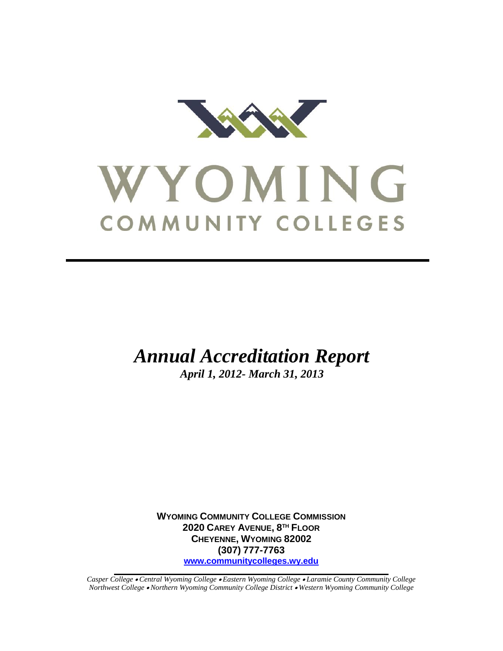

# WYOMING COMMUNITY COLLEGES

*Annual Accreditation Report*

*April 1, 2012- March 31, 2013*

**WYOMING COMMUNITY COLLEGE COMMISSION 2020 CAREY AVENUE, 8 TH FLOOR CHEYENNE, WYOMING 82002 (307) 777-7763 [www.communitycolleges.wy.edu](http://www.communitycolleges.wy.edu/)**

*Casper College Central Wyoming College Eastern Wyoming College Laramie County Community College Northwest College Northern Wyoming Community College District Western Wyoming Community College*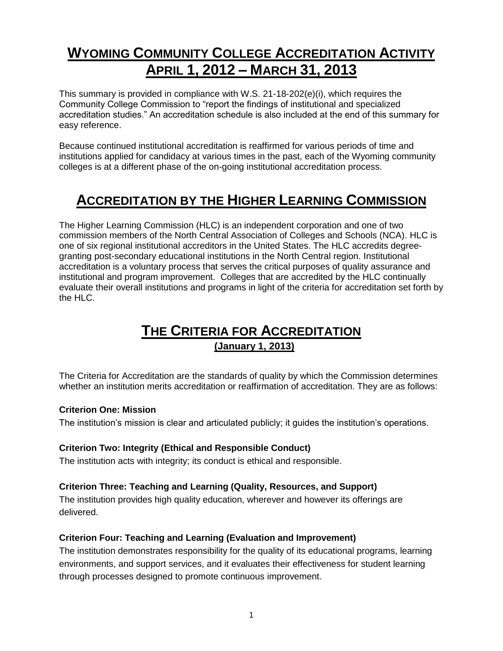## **WYOMING COMMUNITY COLLEGE ACCREDITATION ACTIVITY APRIL 1, 2012 – MARCH 31, 2013**

This summary is provided in compliance with W.S. 21-18-202(e)(i), which requires the Community College Commission to "report the findings of institutional and specialized accreditation studies." An accreditation schedule is also included at the end of this summary for easy reference.

Because continued institutional accreditation is reaffirmed for various periods of time and institutions applied for candidacy at various times in the past, each of the Wyoming community colleges is at a different phase of the on-going institutional accreditation process.

## **ACCREDITATION BY THE HIGHER LEARNING COMMISSION**

The Higher Learning Commission (HLC) is an independent corporation and one of two commission members of the North Central Association of Colleges and Schools (NCA). HLC is one of six regional institutional accreditors in the United States. The HLC accredits degreegranting post-secondary educational institutions in the North Central region. Institutional accreditation is a voluntary process that serves the critical purposes of quality assurance and institutional and program improvement. Colleges that are accredited by the HLC continually evaluate their overall institutions and programs in light of the criteria for accreditation set forth by the HLC.

### **THE CRITERIA FOR ACCREDITATION (January 1, 2013)**

The Criteria for Accreditation are the standards of quality by which the Commission determines whether an institution merits accreditation or reaffirmation of accreditation. They are as follows:

#### **Criterion One: Mission**

The institution's mission is clear and articulated publicly; it guides the institution's operations.

#### **Criterion Two: Integrity (Ethical and Responsible Conduct)**

The institution acts with integrity; its conduct is ethical and responsible.

#### **Criterion Three: Teaching and Learning (Quality, Resources, and Support)**

The institution provides high quality education, [wherever and however its offerings are](http://ncahlc.org/Information-for-Institutions/glossary-criteria-for-accreditation.html)  [delivered.](http://ncahlc.org/Information-for-Institutions/glossary-criteria-for-accreditation.html)

#### **Criterion Four: Teaching and Learning [\(Evaluation](http://ncahlc.org/Information-for-Institutions/glossary-criteria-for-accreditation.html) and Improvement)**

The institution demonstrates responsibility for the quality of its educational programs, learning environments, and support services, and it evaluates their effectiveness for student learning through processes designed to promote continuous improvement.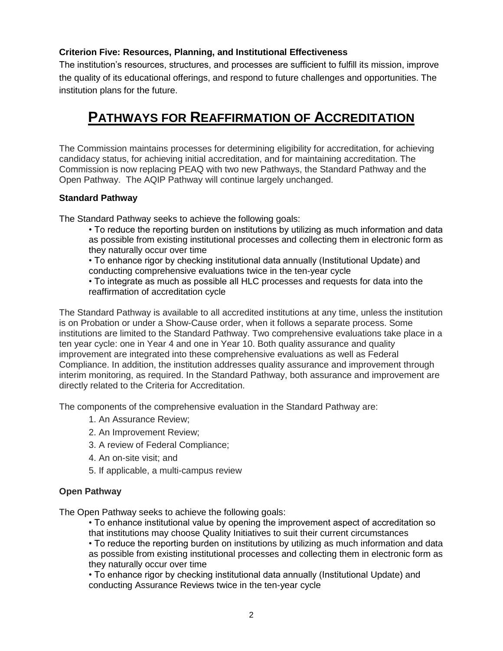#### **Criterion Five: Resources, Planning, and Institutional Effectiveness**

The institution's resources, structures, and processes are sufficient to fulfill its mission, improve the quality of its educational offerings, and respond to future challenges and opportunities. The institution plans for the future.

## **PATHWAYS FOR REAFFIRMATION OF ACCREDITATION**

The Commission maintains processes for determining eligibility for accreditation, for achieving candidacy status, for achieving initial accreditation, and for maintaining accreditation. The Commission is now replacing PEAQ with two new Pathways, the Standard Pathway and the Open Pathway. The AQIP Pathway will continue largely unchanged.

#### **Standard Pathway**

The Standard Pathway seeks to achieve the following goals:

- To reduce the reporting burden on institutions by utilizing as much information and data as possible from existing institutional processes and collecting them in electronic form as they naturally occur over time
- To enhance rigor by checking institutional data annually (Institutional Update) and conducting comprehensive evaluations twice in the ten-year cycle
- To integrate as much as possible all HLC processes and requests for data into the reaffirmation of accreditation cycle

The Standard Pathway is available to all accredited institutions at any time, unless the institution is on Probation or under a Show-Cause order, when it follows a separate process. Some institutions are limited to the Standard Pathway. Two comprehensive evaluations take place in a ten year cycle: one in Year 4 and one in Year 10. Both quality assurance and quality improvement are integrated into these comprehensive evaluations as well as Federal Compliance. In addition, the institution addresses quality assurance and improvement through interim monitoring, as required. In the Standard Pathway, both assurance and improvement are directly related to the Criteria for Accreditation.

The components of the comprehensive evaluation in the Standard Pathway are:

- 1. An Assurance Review;
- 2. An Improvement Review;
- 3. A review of Federal Compliance;
- 4. An on-site visit; and
- 5. If applicable, a multi-campus review

#### **Open Pathway**

The Open Pathway seeks to achieve the following goals:

• To enhance institutional value by opening the improvement aspect of accreditation so that institutions may choose Quality Initiatives to suit their current circumstances

• To reduce the reporting burden on institutions by utilizing as much information and data as possible from existing institutional processes and collecting them in electronic form as they naturally occur over time

• To enhance rigor by checking institutional data annually (Institutional Update) and conducting Assurance Reviews twice in the ten-year cycle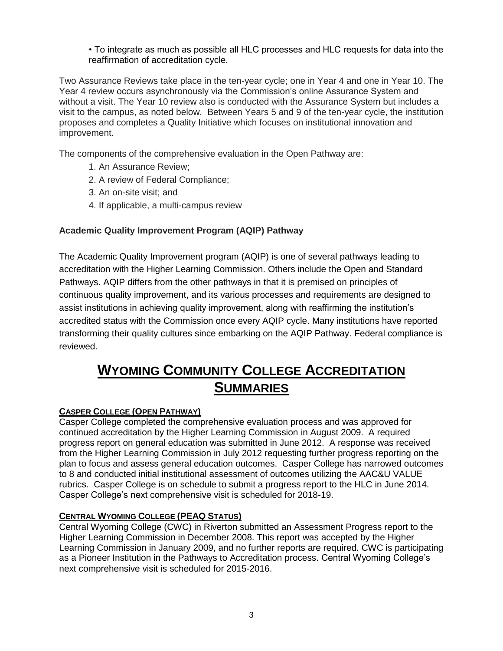• To integrate as much as possible all HLC processes and HLC requests for data into the reaffirmation of accreditation cycle.

Two Assurance Reviews take place in the ten-year cycle; one in Year 4 and one in Year 10. The Year 4 review occurs asynchronously via the Commission's online Assurance System and without a visit. The Year 10 review also is conducted with the Assurance System but includes a visit to the campus, as noted below. Between Years 5 and 9 of the ten-year cycle, the institution proposes and completes a Quality Initiative which focuses on institutional innovation and improvement.

The components of the comprehensive evaluation in the Open Pathway are:

- 1. An Assurance Review;
- 2. A review of Federal Compliance;
- 3. An on-site visit; and
- 4. If applicable, a multi-campus review

#### **Academic Quality Improvement Program (AQIP) Pathway**

The Academic Quality Improvement program (AQIP) is one of several pathways leading to accreditation with the Higher Learning Commission. Others include the Open and Standard Pathways. AQIP differs from the other pathways in that it is premised on principles of continuous quality improvement, and its various processes and requirements are designed to assist institutions in achieving quality improvement, along with reaffirming the institution's accredited status with the Commission once every AQIP cycle. Many institutions have reported transforming their quality cultures since embarking on the AQIP Pathway. Federal compliance is reviewed.

## **WYOMING COMMUNITY COLLEGE ACCREDITATION SUMMARIES**

#### **CASPER COLLEGE (OPEN PATHWAY)**

Casper College completed the comprehensive evaluation process and was approved for continued accreditation by the Higher Learning Commission in August 2009. A required progress report on general education was submitted in June 2012. A response was received from the Higher Learning Commission in July 2012 requesting further progress reporting on the plan to focus and assess general education outcomes. Casper College has narrowed outcomes to 8 and conducted initial institutional assessment of outcomes utilizing the AAC&U VALUE rubrics. Casper College is on schedule to submit a progress report to the HLC in June 2014. Casper College's next comprehensive visit is scheduled for 2018-19.

#### **CENTRAL WYOMING COLLEGE (PEAQ STATUS)**

Central Wyoming College (CWC) in Riverton submitted an Assessment Progress report to the Higher Learning Commission in December 2008. This report was accepted by the Higher Learning Commission in January 2009, and no further reports are required. CWC is participating as a Pioneer Institution in the Pathways to Accreditation process. Central Wyoming College's next comprehensive visit is scheduled for 2015-2016.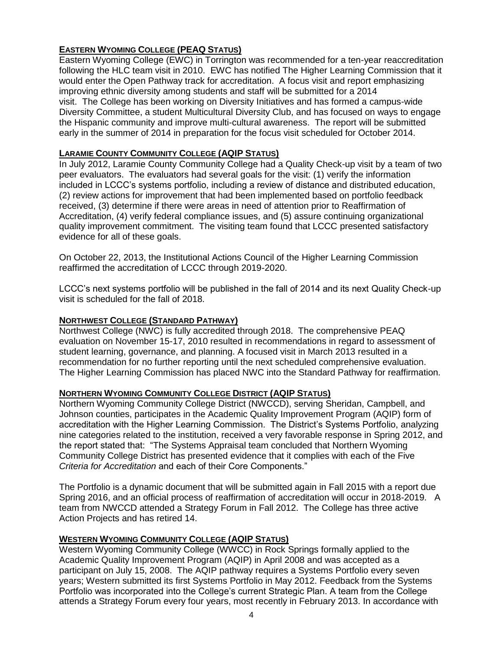#### **EASTERN WYOMING COLLEGE (PEAQ STATUS)**

Eastern Wyoming College (EWC) in Torrington was recommended for a ten-year reaccreditation following the HLC team visit in 2010. EWC has notified The Higher Learning Commission that it would enter the Open Pathway track for accreditation. A focus visit and report emphasizing improving ethnic diversity among students and staff will be submitted for a 2014 visit. The College has been working on Diversity Initiatives and has formed a campus-wide Diversity Committee, a student Multicultural Diversity Club, and has focused on ways to engage the Hispanic community and improve multi-cultural awareness. The report will be submitted early in the summer of 2014 in preparation for the focus visit scheduled for October 2014.

#### **LARAMIE COUNTY COMMUNITY COLLEGE (AQIP STATUS)**

In July 2012, Laramie County Community College had a Quality Check-up visit by a team of two peer evaluators. The evaluators had several goals for the visit: (1) verify the information included in LCCC's systems portfolio, including a review of distance and distributed education, (2) review actions for improvement that had been implemented based on portfolio feedback received, (3) determine if there were areas in need of attention prior to Reaffirmation of Accreditation, (4) verify federal compliance issues, and (5) assure continuing organizational quality improvement commitment. The visiting team found that LCCC presented satisfactory evidence for all of these goals.

On October 22, 2013, the Institutional Actions Council of the Higher Learning Commission reaffirmed the accreditation of LCCC through 2019-2020.

LCCC's next systems portfolio will be published in the fall of 2014 and its next Quality Check-up visit is scheduled for the fall of 2018.

#### **NORTHWEST COLLEGE (STANDARD PATHWAY)**

Northwest College (NWC) is fully accredited through 2018. The comprehensive PEAQ evaluation on November 15-17, 2010 resulted in recommendations in regard to assessment of student learning, governance, and planning. A focused visit in March 2013 resulted in a recommendation for no further reporting until the next scheduled comprehensive evaluation. The Higher Learning Commission has placed NWC into the Standard Pathway for reaffirmation.

#### **NORTHERN WYOMING COMMUNITY COLLEGE DISTRICT (AQIP STATUS)**

Northern Wyoming Community College District (NWCCD), serving Sheridan, Campbell, and Johnson counties, participates in the Academic Quality Improvement Program (AQIP) form of accreditation with the Higher Learning Commission. The District's Systems Portfolio, analyzing nine categories related to the institution, received a very favorable response in Spring 2012, and the report stated that: "The Systems Appraisal team concluded that Northern Wyoming Community College District has presented evidence that it complies with each of the Five *Criteria for Accreditation* and each of their Core Components."

The Portfolio is a dynamic document that will be submitted again in Fall 2015 with a report due Spring 2016, and an official process of reaffirmation of accreditation will occur in 2018-2019. A team from NWCCD attended a Strategy Forum in Fall 2012. The College has three active Action Projects and has retired 14.

#### **WESTERN WYOMING COMMUNITY COLLEGE (AQIP STATUS)**

Western Wyoming Community College (WWCC) in Rock Springs formally applied to the Academic Quality Improvement Program (AQIP) in April 2008 and was accepted as a participant on July 15, 2008. The AQIP pathway requires a Systems Portfolio every seven years; Western submitted its first Systems Portfolio in May 2012. Feedback from the Systems Portfolio was incorporated into the College's current Strategic Plan. A team from the College attends a Strategy Forum every four years, most recently in February 2013. In accordance with